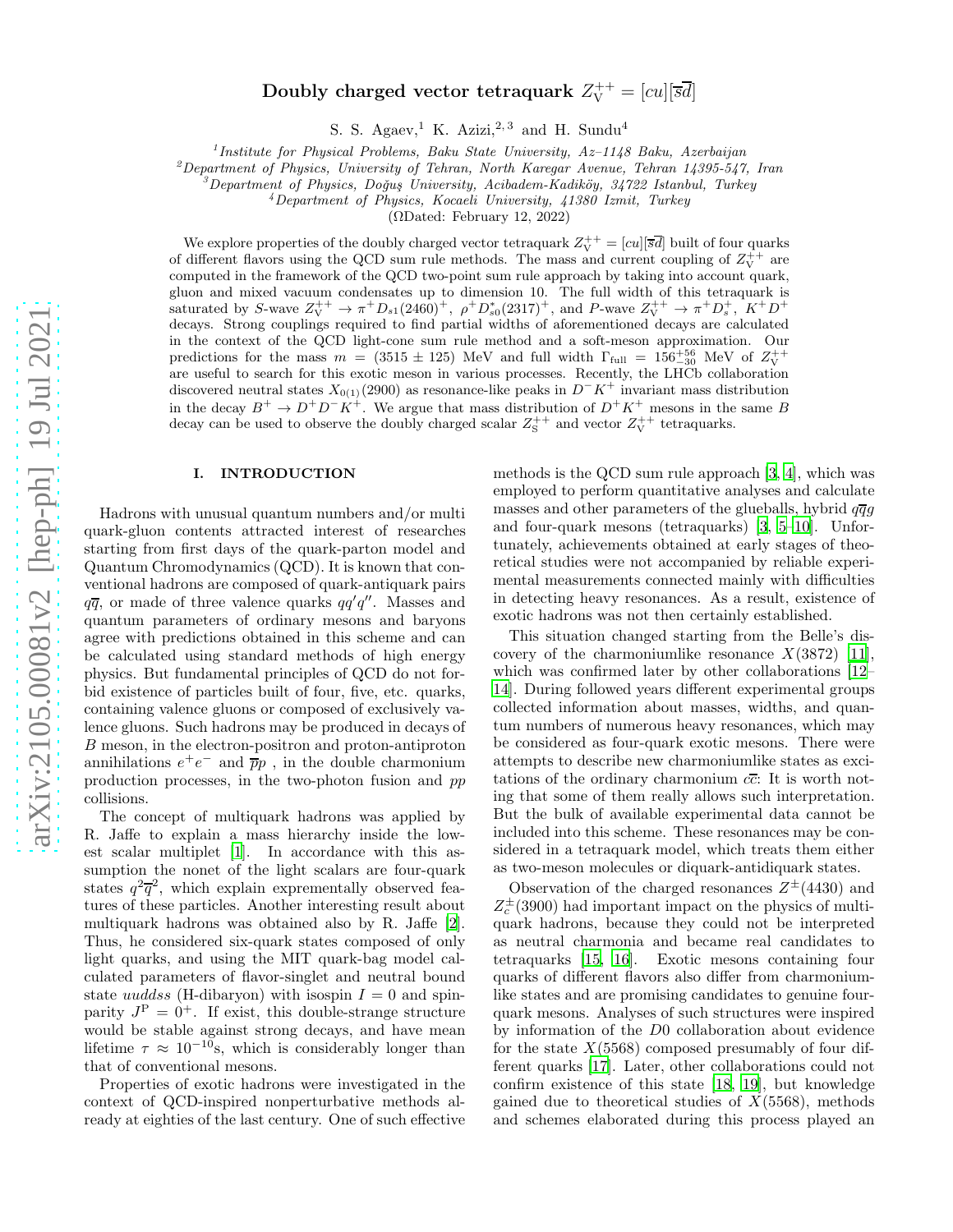# Doubly charged vector tetraquark  $Z_{\rm V}^{++}=[cu][\overline{s}\overline{d}]$

S. S. Agaev,<sup>1</sup> K. Azizi,<sup>2, 3</sup> and H. Sundu<sup>4</sup>

<sup>1</sup> Institute for Physical Problems, Baku State University, Az-1148 Baku, Azerbaijan

 $^{2}$ Department of Physics, University of Tehran, North Karegar Avenue, Tehran 14395-547, Iran

 $\beta^3$ Department of Physics, Doğuş University, Acibadem-Kadiköy, 34722 Istanbul, Turkey

<sup>4</sup>Department of Physics, Kocaeli University, 41380 Izmit, Turkey

(ΩDated: February 12, 2022)

We explore properties of the doubly charged vector tetraquark  $Z_V^{++} = [cu][\overline{s}\overline{d}]$  built of four quarks of different flavors using the QCD sum rule methods. The mass and current coupling of  $Z_V^{++}$  are computed in the framework of the QCD two-point sum rule approach by taking into account quark, gluon and mixed vacuum condensates up to dimension 10. The full width of this tetraquark is saturated by S-wave  $Z_V^{++} \to \pi^+ D_{s1}(2460)^+$ ,  $\rho^+ D_{s0}^*(2317)^+$ , and P-wave  $Z_V^{++} \to \pi^+ D_s^+$ ,  $K^+ D^+$ decays. Strong couplings required to find partial widths of aforementioned decays are calculated in the context of the QCD light-cone sum rule method and a soft-meson approximation. Our predictions for the mass  $m = (3515 \pm 125)$  MeV and full width  $\Gamma_{\text{full}} = 156^{+56}_{-30}$  MeV of  $Z_{\text{V}}^{++}$ are useful to search for this exotic meson in various processes. Recently, the LHCb collaboration discovered neutral states  $X_{0(1)}(2900)$  as resonance-like peaks in  $D-K^+$  invariant mass distribution in the decay  $B^+ \to D^+D^-K^+$ . We argue that mass distribution of  $D^+K^+$  mesons in the same B decay can be used to observe the doubly charged scalar  $Z_S^{++}$  and vector  $Z_V^{++}$  tetraquarks.

#### <span id="page-0-0"></span>I. INTRODUCTION

Hadrons with unusual quantum numbers and/or multi quark-gluon contents attracted interest of researches starting from first days of the quark-parton model and Quantum Chromodynamics (QCD). It is known that conventional hadrons are composed of quark-antiquark pairs  $q\overline{q}$ , or made of three valence quarks  $qq'q''$ . Masses and quantum parameters of ordinary mesons and baryons agree with predictions obtained in this scheme and can be calculated using standard methods of high energy physics. But fundamental principles of QCD do not forbid existence of particles built of four, five, etc. quarks, containing valence gluons or composed of exclusively valence gluons. Such hadrons may be produced in decays of B meson, in the electron-positron and proton-antiproton annihilations  $e^+e^-$  and  $\overline{p}p$ , in the double charmonium production processes, in the two-photon fusion and pp collisions.

The concept of multiquark hadrons was applied by R. Jaffe to explain a mass hierarchy inside the lowest scalar multiplet [\[1](#page-9-0)]. In accordance with this assumption the nonet of the light scalars are four-quark states  $q^2\overline{q}^2$ , which explain exprementally observed features of these particles. Another interesting result about multiquark hadrons was obtained also by R. Jaffe [\[2\]](#page-9-1). Thus, he considered six-quark states composed of only light quarks, and using the MIT quark-bag model calculated parameters of flavor-singlet and neutral bound state uuddss (H-dibaryon) with isospin  $I = 0$  and spinparity  $J^P = 0^+$ . If exist, this double-strange structure would be stable against strong decays, and have mean lifetime  $\tau \approx 10^{-10}$ s, which is considerably longer than that of conventional mesons.

Properties of exotic hadrons were investigated in the context of QCD-inspired nonperturbative methods already at eighties of the last century. One of such effective

methods is the QCD sum rule approach [\[3,](#page-9-2) [4\]](#page-9-3), which was employed to perform quantitative analyses and calculate masses and other parameters of the glueballs, hybrid  $q\overline{q}q$ and four-quark mesons (tetraquarks) [\[3](#page-9-2), [5](#page-9-4)[–10\]](#page-9-5). Unfortunately, achievements obtained at early stages of theoretical studies were not accompanied by reliable experimental measurements connected mainly with difficulties in detecting heavy resonances. As a result, existence of exotic hadrons was not then certainly established.

This situation changed starting from the Belle's discovery of the charmoniumlike resonance  $X(3872)$  [\[11\]](#page-9-6), which was confirmed later by other collaborations [\[12](#page-9-7)– [14](#page-9-8)]. During followed years different experimental groups collected information about masses, widths, and quantum numbers of numerous heavy resonances, which may be considered as four-quark exotic mesons. There were attempts to describe new charmoniumlike states as excitations of the ordinary charmonium  $c\overline{c}$ : It is worth noting that some of them really allows such interpretation. But the bulk of available experimental data cannot be included into this scheme. These resonances may be considered in a tetraquark model, which treats them either as two-meson molecules or diquark-antidiquark states.

Observation of the charged resonances  $Z^{\pm}(4430)$  and  $Z_c^{\pm}$ (3900) had important impact on the physics of multiquark hadrons, because they could not be interpreted as neutral charmonia and became real candidates to tetraquarks [\[15,](#page-9-9) [16\]](#page-9-10). Exotic mesons containing four quarks of different flavors also differ from charmoniumlike states and are promising candidates to genuine fourquark mesons. Analyses of such structures were inspired by information of the D0 collaboration about evidence for the state  $X(5568)$  composed presumably of four different quarks [\[17\]](#page-9-11). Later, other collaborations could not confirm existence of this state [\[18,](#page-9-12) [19](#page-9-13)], but knowledge gained due to theoretical studies of  $X(5568)$ , methods and schemes elaborated during this process played an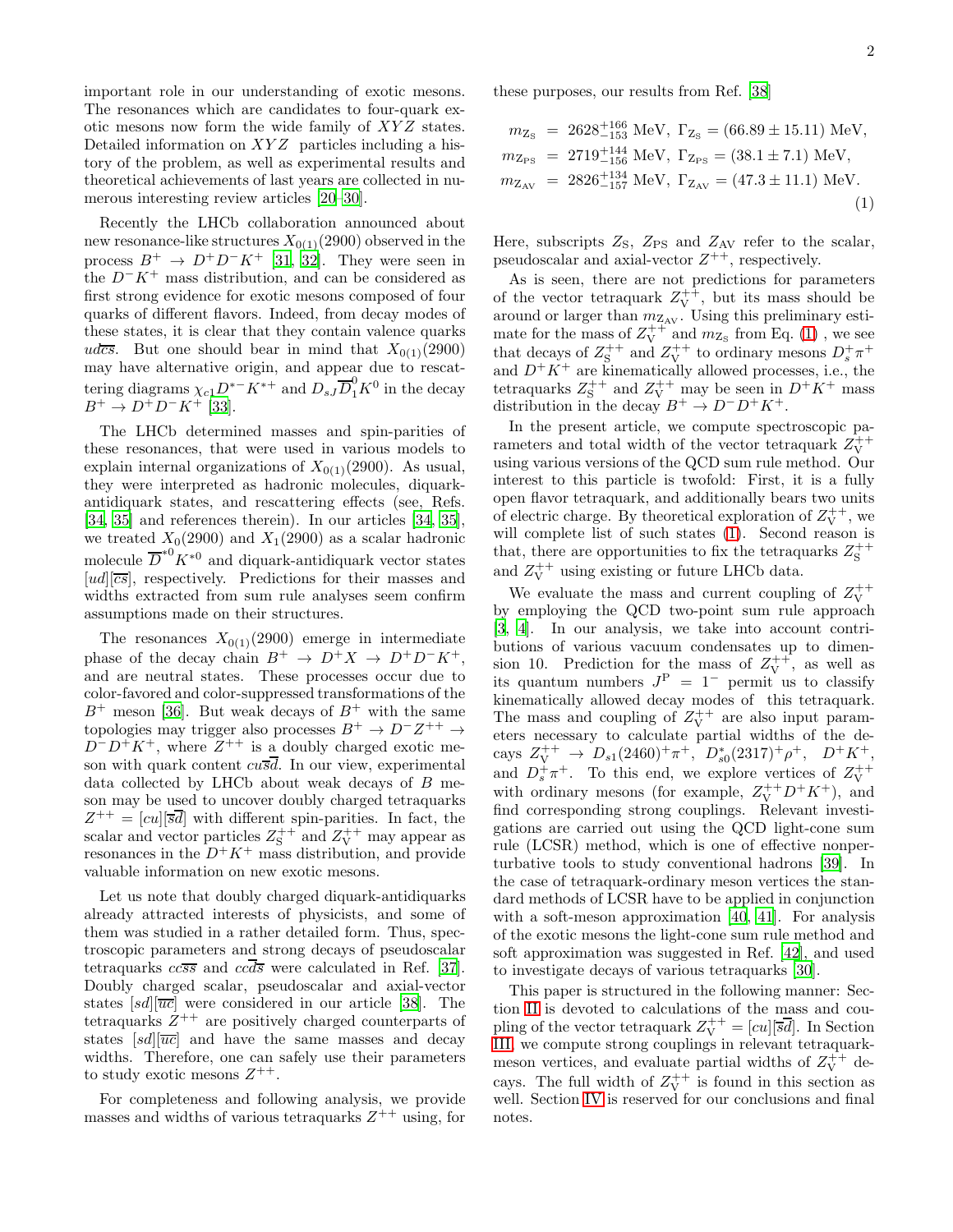important role in our understanding of exotic mesons. The resonances which are candidates to four-quark exotic mesons now form the wide family of  $XYZ$  states. Detailed information on  $XYZ$  particles including a history of the problem, as well as experimental results and theoretical achievements of last years are collected in numerous interesting review articles [\[20](#page-9-14)[–30\]](#page-10-0).

Recently the LHCb collaboration announced about new resonance-like structures  $X_{0(1)}(2900)$  observed in the process  $B^+ \to D^+D^-K^+$  [\[31,](#page-10-1) [32\]](#page-10-2). They were seen in the  $D^-K^+$  mass distribution, and can be considered as first strong evidence for exotic mesons composed of four quarks of different flavors. Indeed, from decay modes of these states, it is clear that they contain valence quarks udcs. But one should bear in mind that  $X_{0(1)}(2900)$ may have alternative origin, and appear due to rescattering diagrams  $\chi_{c1}D^{*-}K^{*+}$  and  $D_{sJ}\overline{D}_1^0K^0$  in the decay  $B^+ \to D^+D^-K^+$  [\[33\]](#page-10-3).

The LHCb determined masses and spin-parities of these resonances, that were used in various models to explain internal organizations of  $X_{0(1)}(2900)$ . As usual, they were interpreted as hadronic molecules, diquarkantidiquark states, and rescattering effects (see, Refs. [\[34,](#page-10-4) [35](#page-10-5)] and references therein). In our articles [\[34](#page-10-4), [35\]](#page-10-5), we treated  $X_0(2900)$  and  $X_1(2900)$  as a scalar hadronic molecule  $\overline{D}^{*0}K^{*0}$  and diquark-antidiquark vector states  $[ud][\overline{cs}]$ , respectively. Predictions for their masses and widths extracted from sum rule analyses seem confirm assumptions made on their structures.

The resonances  $X_{0(1)}(2900)$  emerge in intermediate phase of the decay chain  $B^+ \to D^+X \to D^+D^-K^+,$ and are neutral states. These processes occur due to color-favored and color-suppressed transformations of the  $B^+$  meson [\[36](#page-10-6)]. But weak decays of  $B^+$  with the same topologies may trigger also processes  $B^+ \to D^- Z^{++} \to$  $D^{-}D^{+}K^{+}$ , where  $Z^{++}$  is a doubly charged exotic meson with quark content  $cu\overline{s}\overline{d}$ . In our view, experimental data collected by LHCb about weak decays of B meson may be used to uncover doubly charged tetraquarks  $Z^{++} = [cu][\overline{s}\overline{d}]$  with different spin-parities. In fact, the scalar and vector particles  $Z_{\rm S}^{++}$  and  $Z_{\rm V}^{++}$  may appear as resonances in the  $D^+K^+$  mass distribution, and provide valuable information on new exotic mesons.

Let us note that doubly charged diquark-antidiquarks already attracted interests of physicists, and some of them was studied in a rather detailed form. Thus, spectroscopic parameters and strong decays of pseudoscalar tetraquarks  $cc\overline{s}\overline{s}$  and  $cc\overline{d}\overline{s}$  were calculated in Ref. [\[37\]](#page-10-7). Doubly charged scalar, pseudoscalar and axial-vector states  $[sd][\overline{uc}]$  were considered in our article [\[38\]](#page-10-8). The tetraquarks  $Z^{++}$  are positively charged counterparts of states  $[sd][\overline{uc}]$  and have the same masses and decay widths. Therefore, one can safely use their parameters to study exotic mesons  $Z^{++}$ .

For completeness and following analysis, we provide masses and widths of various tetraquarks  $Z^{++}$  using, for these purposes, our results from Ref. [\[38](#page-10-8)]

<span id="page-1-0"></span>
$$
m_{Z_{\rm S}} = 2628_{-153}^{+166} \text{ MeV}, \ \Gamma_{Z_{\rm S}} = (66.89 \pm 15.11) \text{ MeV},
$$
  
\n
$$
m_{Z_{\rm PS}} = 2719_{-156}^{+144} \text{ MeV}, \ \Gamma_{Z_{\rm PS}} = (38.1 \pm 7.1) \text{ MeV},
$$
  
\n
$$
m_{Z_{\rm AV}} = 2826_{-157}^{+134} \text{ MeV}, \ \Gamma_{Z_{\rm AV}} = (47.3 \pm 11.1) \text{ MeV}.
$$
  
\n(1)

Here, subscripts  $Z_{\rm S}$ ,  $Z_{\rm PS}$  and  $Z_{\rm AV}$  refer to the scalar, pseudoscalar and axial-vector  $Z^{++}$ , respectively.

As is seen, there are not predictions for parameters of the vector tetraquark  $Z_V^{++}$ , but its mass should be around or larger than  $m_{Z_{AV}}$ . Using this preliminary estimate for the mass of  $Z_V^{++}$  and  $m_{Z_S}$  from Eq. [\(1\)](#page-1-0), we see that decays of  $Z_S^{++}$  and  $Z_V^{++}$  to ordinary mesons  $D_s^+\pi^+$ and  $D^+K^+$  are kinematically allowed processes, i.e., the tetraquarks  $Z_S^{++}$  and  $Z_V^{++}$  may be seen in  $D^+K^+$  mass distribution in the decay  $B^+ \to D^-D^+K^+$ .

In the present article, we compute spectroscopic parameters and total width of the vector tetraquark  $Z_{\rm V}^{++}$ using various versions of the QCD sum rule method. Our interest to this particle is twofold: First, it is a fully open flavor tetraquark, and additionally bears two units of electric charge. By theoretical exploration of  $Z_V^{++}$ , we will complete list of such states [\(1\)](#page-1-0). Second reason is that, there are opportunities to fix the tetraquarks  $Z_{\rm S}^{++}$ and  $Z_V^{++}$  using existing or future LHCb data.

We evaluate the mass and current coupling of  $Z_V^{++}$ by employing the QCD two-point sum rule approach [\[3,](#page-9-2) [4\]](#page-9-3). In our analysis, we take into account contributions of various vacuum condensates up to dimension 10. Prediction for the mass of  $Z_V^{++}$ , as well as its quantum numbers  $J^P = 1^-$  permit us to classify kinematically allowed decay modes of this tetraquark. The mass and coupling of  $Z_V^{++}$  are also input parameters necessary to calculate partial widths of the decays  $Z_V^{++} \to D_{s1}(2460)^+ \pi^+, D_{s0}^*(2317)^+ \rho^+, D^+K^+,$ and  $D_s^+\pi^+$ . To this end, we explore vertices of  $Z_V^{++}$ with ordinary mesons (for example,  $Z_V^{++}D^+K^+$ ), and find corresponding strong couplings. Relevant investigations are carried out using the QCD light-cone sum rule (LCSR) method, which is one of effective nonperturbative tools to study conventional hadrons [\[39](#page-10-9)]. In the case of tetraquark-ordinary meson vertices the standard methods of LCSR have to be applied in conjunction with a soft-meson approximation [\[40](#page-10-10), [41\]](#page-10-11). For analysis of the exotic mesons the light-cone sum rule method and soft approximation was suggested in Ref. [\[42\]](#page-10-12), and used to investigate decays of various tetraquarks [\[30\]](#page-10-0).

This paper is structured in the following manner: Section [II](#page-2-0) is devoted to calculations of the mass and coupling of the vector tetraquark  $Z_{\rm V}^{++}=[cu][\overline{s}\overline{d}]$ . In Section [III,](#page-5-0) we compute strong couplings in relevant tetraquarkmeson vertices, and evaluate partial widths of  $Z_V^{++}$  decays. The full width of  $Z_V^{++}$  is found in this section as well. Section [IV](#page-8-0) is reserved for our conclusions and final notes.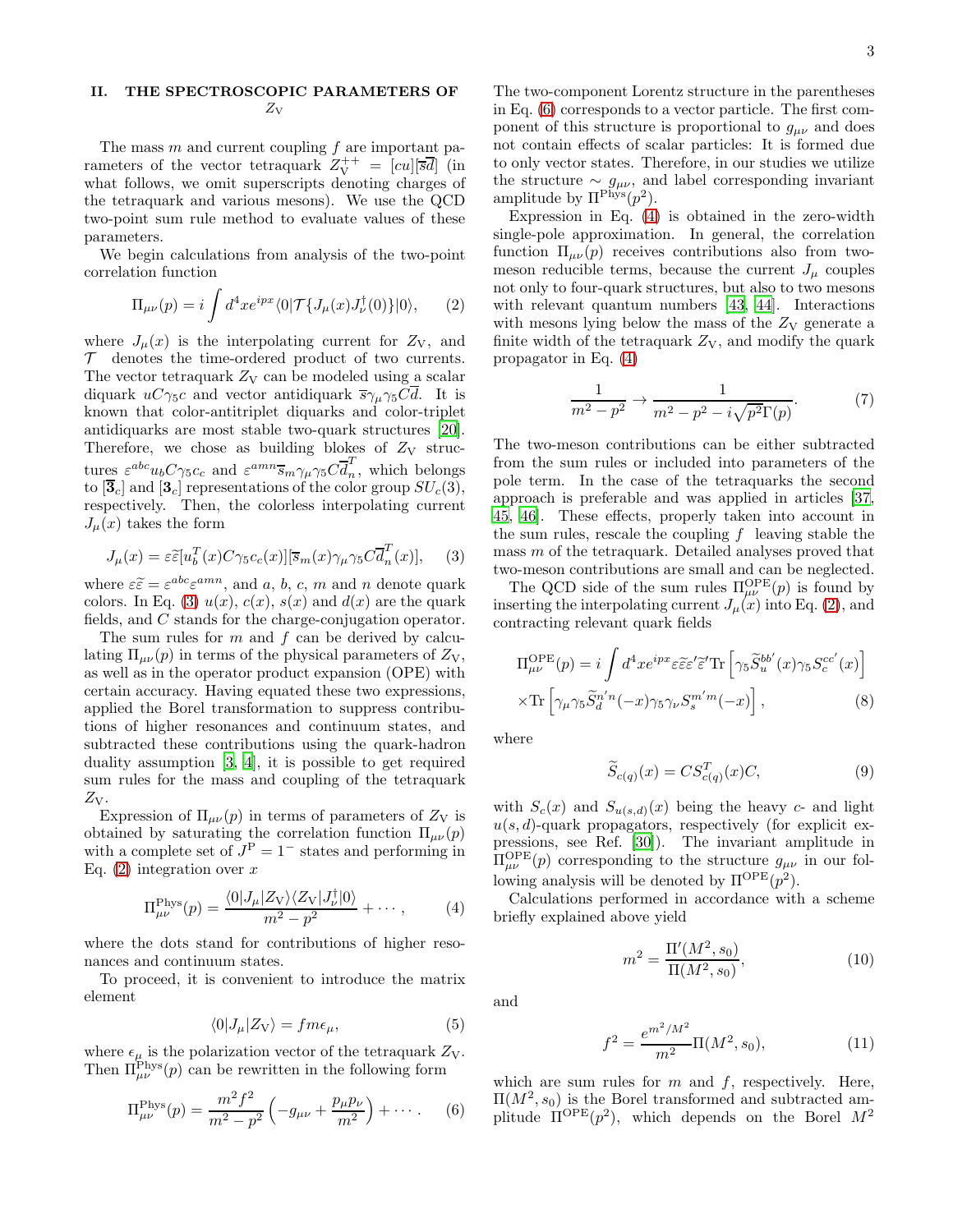### <span id="page-2-0"></span>II. THE SPECTROSCOPIC PARAMETERS OF  $Z_{\rm V}$

The mass  $m$  and current coupling  $f$  are important parameters of the vector tetraquark Z ++ <sup>V</sup> = [cu][sd] (in what follows, we omit superscripts denoting charges of the tetraquark and various mesons). We use the QCD two-point sum rule method to evaluate values of these parameters.

We begin calculations from analysis of the two-point correlation function

<span id="page-2-2"></span>
$$
\Pi_{\mu\nu}(p) = i \int d^4x e^{ipx} \langle 0|\mathcal{T}\{J_\mu(x)J_\nu^\dagger(0)\}|0\rangle, \qquad (2)
$$

where  $J_{\mu}(x)$  is the interpolating current for  $Z_V$ , and  $\mathcal T$  denotes the time-ordered product of two currents. The vector tetraquark  $Z_V$  can be modeled using a scalar diquark  $uC\gamma_5c$  and vector antidiquark  $\overline{s}\gamma_\mu\gamma_5C\overline{d}$ . It is known that color-antitriplet diquarks and color-triplet antidiquarks are most stable two-quark structures [\[20\]](#page-9-14). Therefore, we chose as building blokes of  $Z_V$  structures  $\varepsilon^{abc} u_b C \gamma_5 c_c$  and  $\varepsilon^{amn} \overline{s}_m \gamma_\mu \gamma_5 C \overline{d}_n^T$ , which belongs to  $[\overline{\mathbf{3}}_c]$  and  $[\mathbf{3}_c]$  representations of the color group  $SU_c(\overline{3})$ , respectively. Then, the colorless interpolating current  $J_{\mu}(x)$  takes the form

<span id="page-2-1"></span>
$$
J_{\mu}(x) = \varepsilon \widetilde{\varepsilon}[u_b^T(x) C \gamma_5 c_c(x)][\overline{s}_m(x) \gamma_{\mu} \gamma_5 C \overline{d}_n^T(x)], \quad (3)
$$

where  $\varepsilon \tilde{\varepsilon} = \varepsilon^{abc} \varepsilon^{amn}$ , and a, b, c, m and n denote quark colors. In Eq. [\(3\)](#page-2-1)  $u(x)$ ,  $c(x)$ ,  $s(x)$  and  $d(x)$  are the quark fields, and C stands for the charge-conjugation operator.

The sum rules for  $m$  and  $f$  can be derived by calculating  $\Pi_{\mu\nu}(p)$  in terms of the physical parameters of  $Z_V$ , as well as in the operator product expansion (OPE) with certain accuracy. Having equated these two expressions, applied the Borel transformation to suppress contributions of higher resonances and continuum states, and subtracted these contributions using the quark-hadron duality assumption [\[3](#page-9-2), [4](#page-9-3)], it is possible to get required sum rules for the mass and coupling of the tetraquark  $Z_V$ .

Expression of  $\Pi_{\mu\nu}(p)$  in terms of parameters of  $Z_V$  is obtained by saturating the correlation function  $\Pi_{\mu\nu}(p)$ with a complete set of  $J<sup>P</sup> = 1<sup>-</sup>$  states and performing in Eq.  $(2)$  integration over x

<span id="page-2-4"></span>
$$
\Pi_{\mu\nu}^{\text{Phys}}(p) = \frac{\langle 0|J_{\mu}|Z_{\text{V}}\rangle\langle Z_{\text{V}}|J_{\nu}^{\dagger}|0\rangle}{m^2 - p^2} + \cdots, \tag{4}
$$

where the dots stand for contributions of higher resonances and continuum states.

To proceed, it is convenient to introduce the matrix element

$$
\langle 0|J_{\mu}|Z_{\rm V}\rangle = fm\epsilon_{\mu},\tag{5}
$$

where  $\epsilon_{\mu}$  is the polarization vector of the tetraquark  $Z_{V}$ . Then  $\Pi_{\mu\nu}^{\text{Phys}}(p)$  can be rewritten in the following form

<span id="page-2-3"></span>
$$
\Pi_{\mu\nu}^{\text{Phys}}(p) = \frac{m^2 f^2}{m^2 - p^2} \left( -g_{\mu\nu} + \frac{p_{\mu} p_{\nu}}{m^2} \right) + \cdots. \tag{6}
$$

The two-component Lorentz structure in the parentheses in Eq. [\(6\)](#page-2-3) corresponds to a vector particle. The first component of this structure is proportional to  $g_{\mu\nu}$  and does not contain effects of scalar particles: It is formed due to only vector states. Therefore, in our studies we utilize the structure  $\sim g_{\mu\nu}$ , and label corresponding invariant amplitude by  $\Pi^{\text{Phys}}(p^2)$ .

Expression in Eq. [\(4\)](#page-2-4) is obtained in the zero-width single-pole approximation. In general, the correlation function  $\Pi_{\mu\nu}(p)$  receives contributions also from twomeson reducible terms, because the current  $J_{\mu}$  couples not only to four-quark structures, but also to two mesons with relevant quantum numbers [\[43,](#page-10-13) [44\]](#page-10-14). Interactions with mesons lying below the mass of the  $Z_V$  generate a finite width of the tetraquark  $Z_V$ , and modify the quark propagator in Eq. [\(4\)](#page-2-4)

$$
\frac{1}{m^2 - p^2} \to \frac{1}{m^2 - p^2 - i\sqrt{p^2 \Gamma(p)}}.
$$
 (7)

The two-meson contributions can be either subtracted from the sum rules or included into parameters of the pole term. In the case of the tetraquarks the second approach is preferable and was applied in articles [\[37](#page-10-7), [45,](#page-10-15) [46\]](#page-10-16). These effects, properly taken into account in the sum rules, rescale the coupling  $f$  leaving stable the mass  $m$  of the tetraquark. Detailed analyses proved that two-meson contributions are small and can be neglected.

The QCD side of the sum rules  $\Pi_{\mu\nu}^{\rm OPE}(p)$  is found by inserting the interpolating current  $J_{\mu}(x)$  into Eq. [\(2\)](#page-2-2), and contracting relevant quark fields

$$
\Pi_{\mu\nu}^{\text{OPE}}(p) = i \int d^4x e^{ipx} \varepsilon \tilde{\varepsilon} \varepsilon' \tilde{\varepsilon}^{\prime} \text{Tr} \left[ \gamma_5 \tilde{S}_u^{bb'}(x) \gamma_5 S_c^{cc'}(x) \right]
$$

$$
\times \text{Tr} \left[ \gamma_\mu \gamma_5 \tilde{S}_d^{n'n}(-x) \gamma_5 \gamma_\nu S_s^{m'm}(-x) \right], \tag{8}
$$

where

$$
\widetilde{S}_{c(q)}(x) = CS_{c(q)}^T(x)C,\tag{9}
$$

with  $S_c(x)$  and  $S_{u(s,d)}(x)$  being the heavy c- and light  $u(s, d)$ -quark propagators, respectively (for explicit expressions, see Ref. [\[30\]](#page-10-0)). The invariant amplitude in  $\Pi_{\mu\nu}^{\text{OPE}}(p)$  corresponding to the structure  $g_{\mu\nu}$  in our following analysis will be denoted by  $\Pi^{\text{OPE}}(p^2)$ .

Calculations performed in accordance with a scheme briefly explained above yield

<span id="page-2-5"></span>
$$
m^2 = \frac{\Pi'(M^2, s_0)}{\Pi(M^2, s_0)},
$$
\n(10)

and

$$
f^{2} = \frac{e^{m^{2}/M^{2}}}{m^{2}} \Pi(M^{2}, s_{0}),
$$
 (11)

which are sum rules for  $m$  and  $f$ , respectively. Here,  $\Pi(M^2, s_0)$  is the Borel transformed and subtracted amplitude  $\Pi^{\text{OPE}}(p^2)$ , which depends on the Borel  $M^2$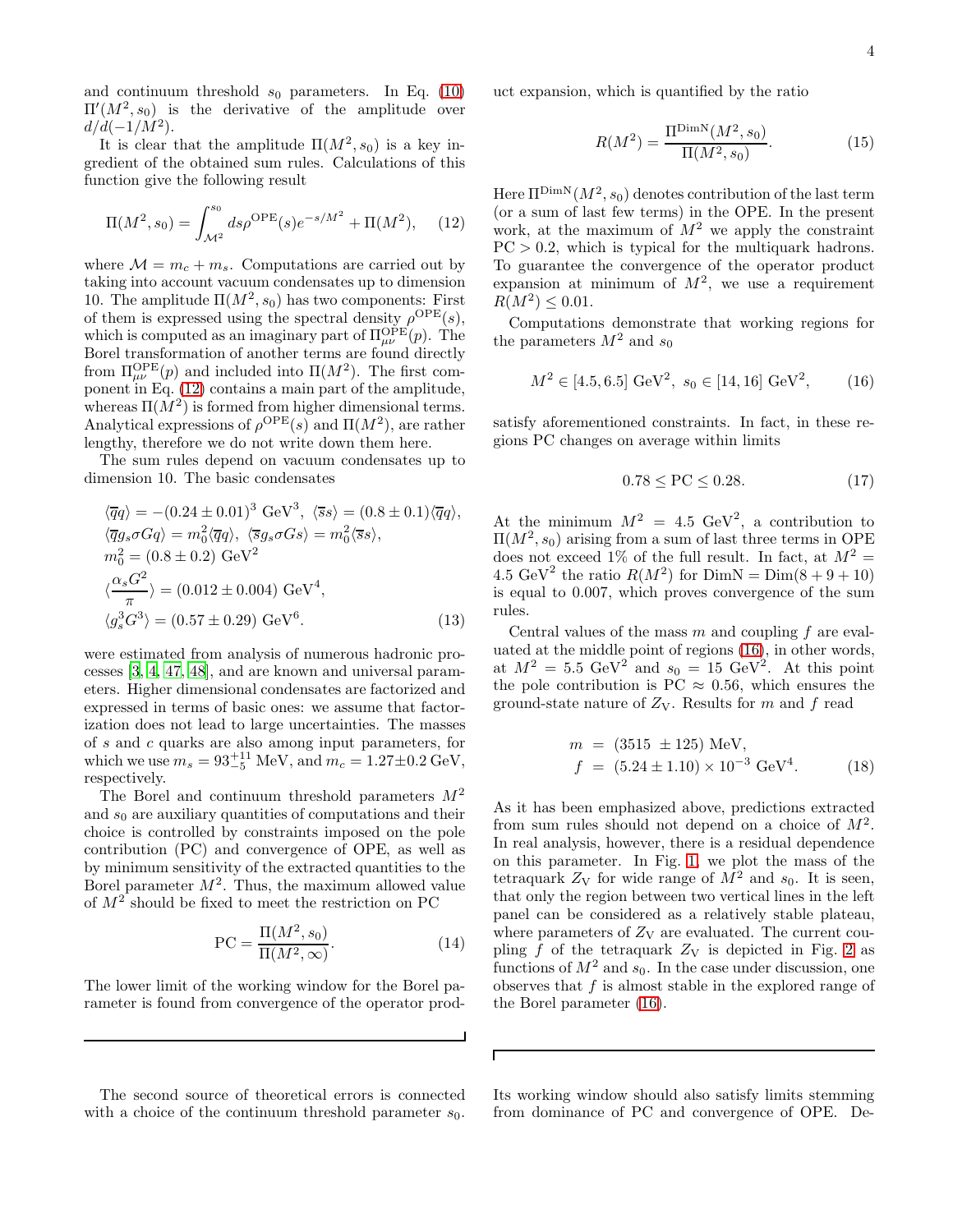and continuum threshold  $s_0$  parameters. In Eq. [\(10\)](#page-2-5)  $\Pi'(M^2, s_0)$  is the derivative of the amplitude over  $d/d(-1/M^2)$ .

It is clear that the amplitude  $\Pi(M^2, s_0)$  is a key ingredient of the obtained sum rules. Calculations of this function give the following result

<span id="page-3-0"></span>
$$
\Pi(M^2, s_0) = \int_{\mathcal{M}^2}^{s_0} ds \rho^{\text{OPE}}(s) e^{-s/M^2} + \Pi(M^2), \quad (12)
$$

where  $\mathcal{M} = m_c + m_s$ . Computations are carried out by taking into account vacuum condensates up to dimension 10. The amplitude  $\Pi(M^2, s_0)$  has two components: First of them is expressed using the spectral density  $\rho^{\text{OPE}}(s)$ , which is computed as an imaginary part of  $\Pi_{\mu\nu}^{\text{OPE}}(p)$ . The Borel transformation of another terms are found directly from  $\Pi_{\mu\nu}^{\text{OPE}}(p)$  and included into  $\Pi(M^2)$ . The first component in Eq. [\(12\)](#page-3-0) contains a main part of the amplitude, whereas  $\Pi(M^2)$  is formed from higher dimensional terms. Analytical expressions of  $\rho^{\text{OPE}}(s)$  and  $\Pi(M^2)$ , are rather lengthy, therefore we do not write down them here.

The sum rules depend on vacuum condensates up to dimension 10. The basic condensates

$$
\langle \overline{q}q \rangle = -(0.24 \pm 0.01)^3 \text{ GeV}^3, \langle \overline{s}s \rangle = (0.8 \pm 0.1)\langle \overline{q}q \rangle, \n\langle \overline{q}g_s\sigma Gq \rangle = m_0^2 \langle \overline{q}q \rangle, \langle \overline{s}g_s\sigma Gs \rangle = m_0^2 \langle \overline{s}s \rangle, \n m_0^2 = (0.8 \pm 0.2) \text{ GeV}^2 \n\langle \frac{\alpha_s G^2}{\pi} \rangle = (0.012 \pm 0.004) \text{ GeV}^4, \n\langle g_s^3 G^3 \rangle = (0.57 \pm 0.29) \text{ GeV}^6.
$$
\n(13)

were estimated from analysis of numerous hadronic processes [\[3,](#page-9-2) [4,](#page-9-3) [47](#page-10-17), [48\]](#page-10-18), and are known and universal parameters. Higher dimensional condensates are factorized and expressed in terms of basic ones: we assume that factorization does not lead to large uncertainties. The masses of s and c quarks are also among input parameters, for which we use  $m_s = 93^{+11}_{-5}$  MeV, and  $m_c = 1.27 \pm 0.2$  GeV, respectively.

The Borel and continuum threshold parameters  $M^2$ and  $s_0$  are auxiliary quantities of computations and their choice is controlled by constraints imposed on the pole contribution (PC) and convergence of OPE, as well as by minimum sensitivity of the extracted quantities to the Borel parameter  $M^2$ . Thus, the maximum allowed value of  $M^2$  should be fixed to meet the restriction on PC

$$
PC = \frac{\Pi(M^2, s_0)}{\Pi(M^2, \infty)}.
$$
\n(14)

The lower limit of the working window for the Borel parameter is found from convergence of the operator prod-

The second source of theoretical errors is connected with a choice of the continuum threshold parameter  $s_0$ .

uct expansion, which is quantified by the ratio

$$
R(M^2) = \frac{\Pi^{\text{DimN}}(M^2, s_0)}{\Pi(M^2, s_0)}.
$$
\n(15)

Here  $\Pi^{\mathrm{DimN}}(M^2,s_0)$  denotes contribution of the last term (or a sum of last few terms) in the OPE. In the present work, at the maximum of  $M^2$  we apply the constraint  $PC > 0.2$ , which is typical for the multiquark hadrons. To guarantee the convergence of the operator product expansion at minimum of  $M^2$ , we use a requirement  $R(M^2) \le 0.01$ .

Computations demonstrate that working regions for the parameters  $M^2$  and  $s_0$ 

<span id="page-3-1"></span>
$$
M^2 \in [4.5, 6.5] \text{ GeV}^2, \ s_0 \in [14, 16] \text{ GeV}^2, \qquad (16)
$$

satisfy aforementioned constraints. In fact, in these regions PC changes on average within limits

$$
0.78 \le \text{PC} \le 0.28. \tag{17}
$$

At the minimum  $M^2 = 4.5 \text{ GeV}^2$ , a contribution to  $\Pi(M^2, s_0)$  arising from a sum of last three terms in OPE does not exceed 1% of the full result. In fact, at  $M^2 =$ 4.5 GeV<sup>2</sup> the ratio  $R(M^2)$  for  $DimN = Dim(8 + 9 + 10)$ is equal to 0.007, which proves convergence of the sum rules.

Central values of the mass  $m$  and coupling  $f$  are evaluated at the middle point of regions [\(16\)](#page-3-1), in other words, at  $M^2 = 5.5 \text{ GeV}^2$  and  $s_0 = 15 \text{ GeV}^2$ . At this point the pole contribution is PC  $\approx 0.56$ , which ensures the ground-state nature of  $Z_V$ . Results for m and f read

$$
m = (3515 \pm 125) \text{ MeV},
$$
  
\n
$$
f = (5.24 \pm 1.10) \times 10^{-3} \text{ GeV}^4.
$$
 (18)

As it has been emphasized above, predictions extracted from sum rules should not depend on a choice of  $M^2$ . In real analysis, however, there is a residual dependence on this parameter. In Fig. [1,](#page-4-0) we plot the mass of the tetraquark  $Z_V$  for wide range of  $M^2$  and  $s_0$ . It is seen, that only the region between two vertical lines in the left panel can be considered as a relatively stable plateau, where parameters of  $Z_V$  are evaluated. The current coupling  $f$  of the tetraquark  $Z_V$  is depicted in Fig. [2](#page-4-1) as functions of  $M^2$  and  $s_0$ . In the case under discussion, one observes that  $f$  is almost stable in the explored range of the Borel parameter [\(16\)](#page-3-1).

Г

Its working window should also satisfy limits stemming from dominance of PC and convergence of OPE. De-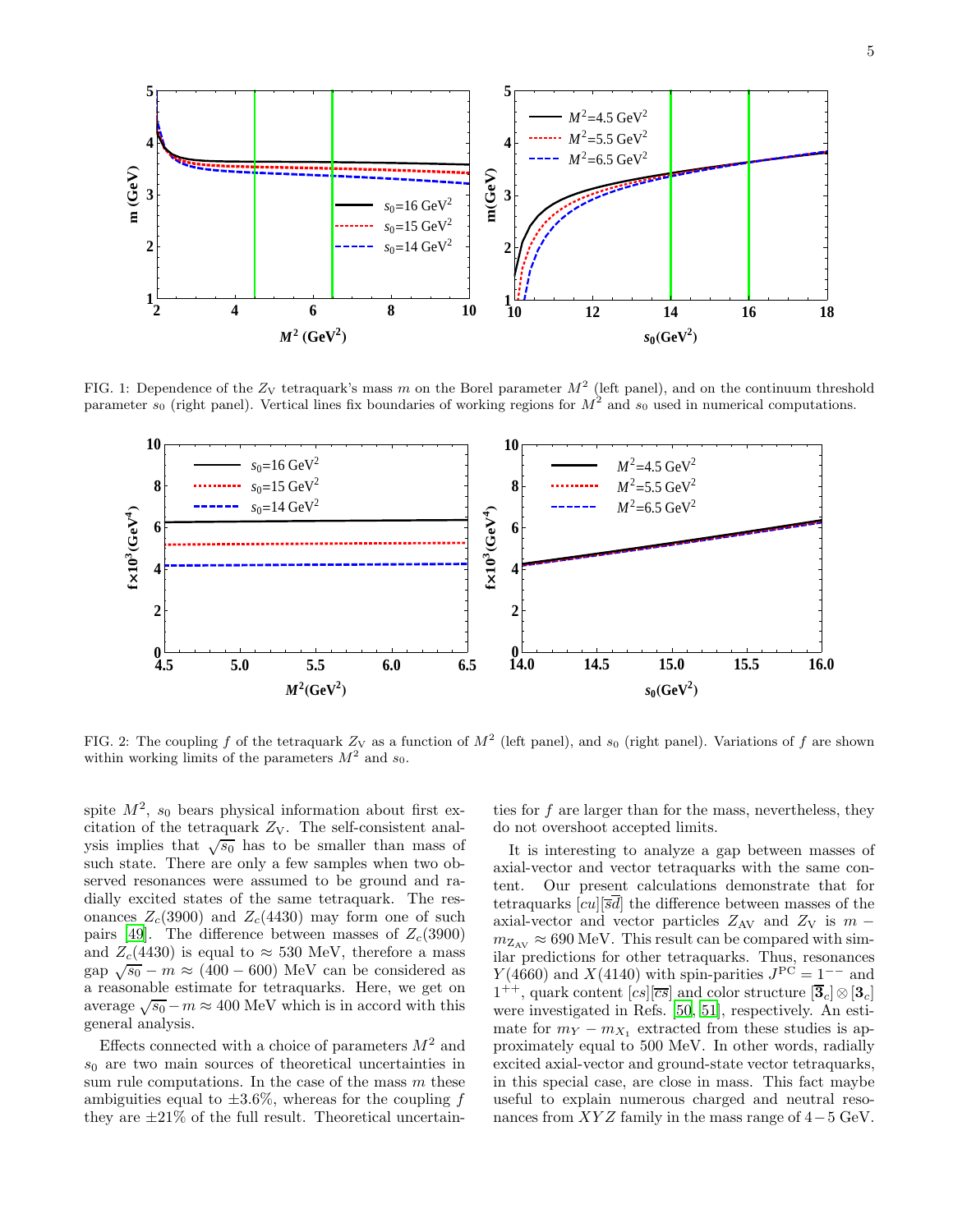

FIG. 1: Dependence of the  $Z_V$  tetraquark's mass m on the Borel parameter  $M^2$  (left panel), and on the continuum threshold parameter  $s_0$  (right panel). Vertical lines fix boundaries of working regions for  $M^2$  and  $s_0$  used in numerical computations.

<span id="page-4-0"></span>

<span id="page-4-1"></span>FIG. 2: The coupling f of the tetraquark  $Z_V$  as a function of  $M^2$  (left panel), and  $s_0$  (right panel). Variations of f are shown within working limits of the parameters  $M^2$  and  $s_0$ .

spite  $M^2$ ,  $s_0$  bears physical information about first excitation of the tetraquark  $Z_V$ . The self-consistent analysis implies that  $\sqrt{s_0}$  has to be smaller than mass of such state. There are only a few samples when two observed resonances were assumed to be ground and radially excited states of the same tetraquark. The resonances  $Z_c(3900)$  and  $Z_c(4430)$  may form one of such pairs [\[49\]](#page-10-19). The difference between masses of  $Z_c(3900)$ and  $Z_c(4430)$  is equal to  $\approx 530$  MeV, therefore a mass gap  $\sqrt{s_0} - m \approx (400 - 600)$  MeV can be considered as a reasonable estimate for tetraquarks. Here, we get on average  $\sqrt{s_0} - m \approx 400$  MeV which is in accord with this general analysis.

Effects connected with a choice of parameters  $M^2$  and  $s_0$  are two main sources of theoretical uncertainties in sum rule computations. In the case of the mass  $m$  these ambiguities equal to  $\pm 3.6\%$ , whereas for the coupling f they are  $\pm 21\%$  of the full result. Theoretical uncertain-

ties for f are larger than for the mass, nevertheless, they do not overshoot accepted limits.

It is interesting to analyze a gap between masses of axial-vector and vector tetraquarks with the same content. Our present calculations demonstrate that for tetraquarks  $|cu||\overline{s}\overline{d}|$  the difference between masses of the axial-vector and vector particles  $Z_{\rm AV}$  and  $Z_{\rm V}$  is  $m$  $m_{\mathrm{Z}_{\mathrm{AV}}} \approx 690 \text{ MeV}$ . This result can be compared with similar predictions for other tetraquarks. Thus, resonances  $Y(4660)$  and  $X(4140)$  with spin-parities  $J<sup>PC</sup> = 1<sup>-−</sup>$  and  $1^{++}$ , quark content  $[cs][\overline{cs}]$  and color structure  $[\overline{3}_c] \otimes [3_c]$ were investigated in Refs. [\[50,](#page-10-20) [51\]](#page-10-21), respectively. An estimate for  $m_Y - m_{X_1}$  extracted from these studies is approximately equal to 500 MeV. In other words, radially excited axial-vector and ground-state vector tetraquarks, in this special case, are close in mass. This fact maybe useful to explain numerous charged and neutral resonances from  $XYZ$  family in the mass range of  $4-5$  GeV.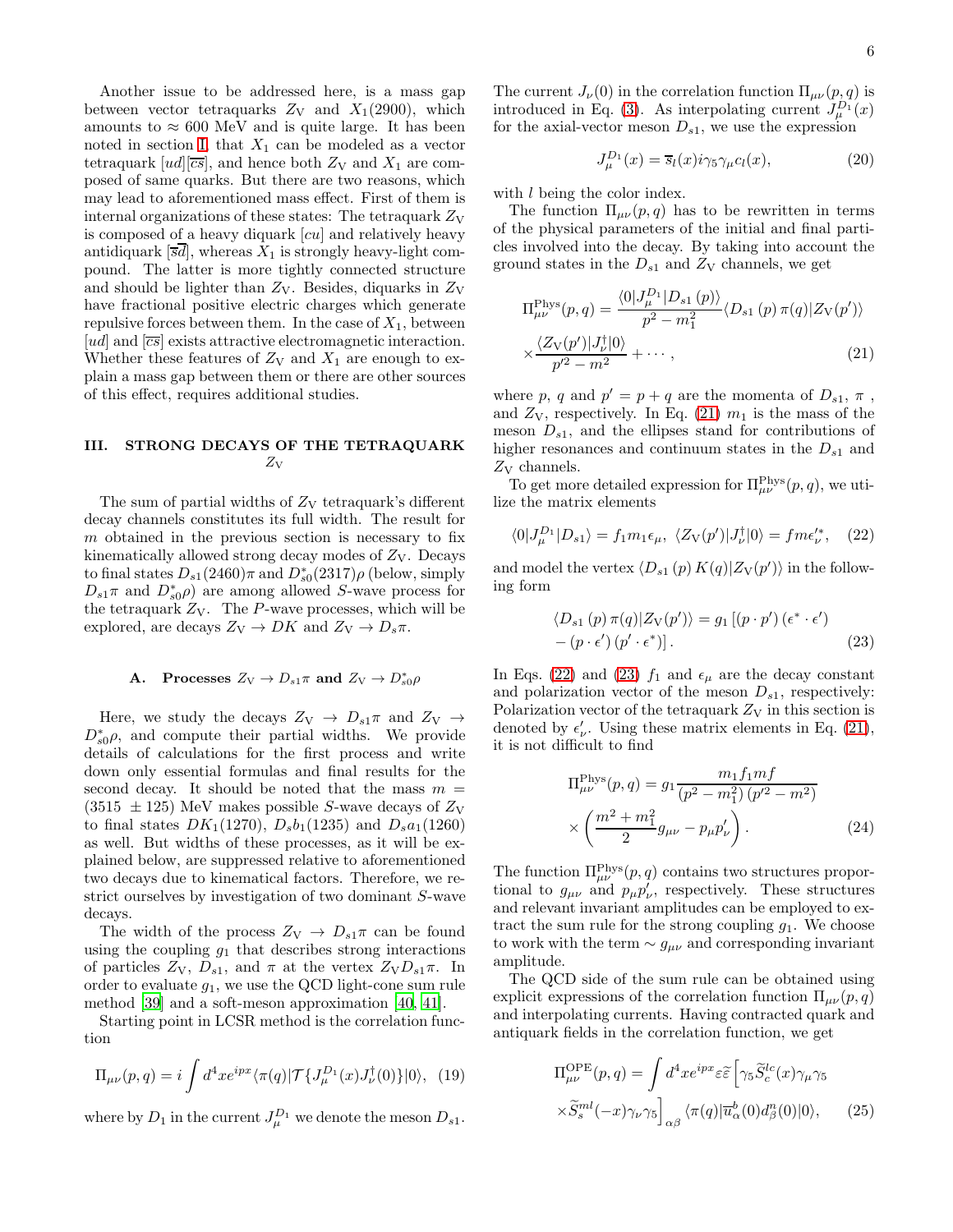Another issue to be addressed here, is a mass gap between vector tetraquarks  $Z_V$  and  $X_1(2900)$ , which amounts to  $\approx 600$  MeV and is quite large. It has been noted in section [I,](#page-0-0) that  $X_1$  can be modeled as a vector tetraquark  $[ud][\overline{cs}]$ , and hence both  $Z_V$  and  $X_1$  are composed of same quarks. But there are two reasons, which may lead to aforementioned mass effect. First of them is internal organizations of these states: The tetraquark  $Z_V$ is composed of a heavy diquark [cu] and relatively heavy antidiquark  $[\overline{sd}]$ , whereas  $X_1$  is strongly heavy-light compound. The latter is more tightly connected structure and should be lighter than  $Z_V$ . Besides, diquarks in  $Z_V$ have fractional positive electric charges which generate repulsive forces between them. In the case of  $X_1$ , between [ud] and  $\overline{cs}$ ] exists attractive electromagnetic interaction. Whether these features of  $Z_V$  and  $X_1$  are enough to explain a mass gap between them or there are other sources of this effect, requires additional studies.

## <span id="page-5-0"></span>III. STRONG DECAYS OF THE TETRAQUARK  $Z_{\rm V}$

The sum of partial widths of  $Z_V$  tetraquark's different decay channels constitutes its full width. The result for  $m$  obtained in the previous section is necessary to fix kinematically allowed strong decay modes of  $Z_V$ . Decays to final states  $D_{s1}(2460)\pi$  and  $D_{s0}^*(2317)\rho$  (below, simply  $D_{s1}\pi$  and  $D_{s0}^*\rho$  are among allowed S-wave process for the tetraquark  $Z_V$ . The P-wave processes, which will be explored, are decays  $Z_V \to DK$  and  $Z_V \to D_s \pi$ .

# **A.** Processes  $Z_V \to D_{s1} \pi$  and  $Z_V \to D_{s0}^* \rho$

Here, we study the decays  $Z_V \rightarrow D_{s1}\pi$  and  $Z_V \rightarrow$  $D_{s0}^{\ast}\rho$ , and compute their partial widths. We provide details of calculations for the first process and write down only essential formulas and final results for the second decay. It should be noted that the mass  $m =$  $(3515 \pm 125)$  MeV makes possible S-wave decays of  $Z_V$ to final states  $DK_1(1270)$ ,  $D_s b_1(1235)$  and  $D_s a_1(1260)$ as well. But widths of these processes, as it will be explained below, are suppressed relative to aforementioned two decays due to kinematical factors. Therefore, we restrict ourselves by investigation of two dominant S-wave decays.

The width of the process  $Z_V \rightarrow D_{s1}\pi$  can be found using the coupling  $g_1$  that describes strong interactions of particles  $Z_V$ ,  $D_{s1}$ , and  $\pi$  at the vertex  $Z_V D_{s1} \pi$ . In order to evaluate  $g_1$ , we use the QCD light-cone sum rule method [\[39\]](#page-10-9) and a soft-meson approximation [\[40,](#page-10-10) [41\]](#page-10-11).

Starting point in LCSR method is the correlation function

$$
\Pi_{\mu\nu}(p,q) = i \int d^4x e^{ipx} \langle \pi(q) | \mathcal{T} \{ J_{\mu}^{D_1}(x) J_{\nu}^{\dagger}(0) \} | 0 \rangle, \tag{19}
$$

where by  $D_1$  in the current  $J_{\mu}^{D_1}$  we denote the meson  $D_{s_1}$ .

The current  $J_{\nu}(0)$  in the correlation function  $\Pi_{\mu\nu}(p,q)$  is introduced in Eq. [\(3\)](#page-2-1). As interpolating current  $J_{\mu}^{D_1}(x)$ for the axial-vector meson  $D_{s1}$ , we use the expression

$$
J_{\mu}^{D_1}(x) = \overline{s}_l(x)i\gamma_5\gamma_{\mu}c_l(x),\tag{20}
$$

with *l* being the color index.

The function  $\Pi_{\mu\nu}(p,q)$  has to be rewritten in terms of the physical parameters of the initial and final particles involved into the decay. By taking into account the ground states in the  $D_{s1}$  and  $Z_V$  channels, we get

<span id="page-5-1"></span>
$$
\Pi_{\mu\nu}^{\text{Phys}}(p,q) = \frac{\langle 0|J_{\mu}^{D_1}|D_{s1}(p)\rangle}{p^2 - m_1^2} \langle D_{s1}(p)\,\pi(q)|Z_{\text{V}}(p')\rangle
$$

$$
\times \frac{\langle Z_{\text{V}}(p')|J_{\nu}^{\dagger}|0\rangle}{p'^2 - m^2} + \cdots, \tag{21}
$$

where p, q and  $p' = p + q$  are the momenta of  $D_{s1}, \pi$ , and  $Z_V$ , respectively. In Eq. [\(21\)](#page-5-1)  $m_1$  is the mass of the meson  $D_{s1}$ , and the ellipses stand for contributions of higher resonances and continuum states in the  $D_{s1}$  and  $Z_V$  channels.

To get more detailed expression for  $\Pi_{\mu\nu}^{\text{Phys}}(p,q)$ , we utilize the matrix elements

<span id="page-5-2"></span>
$$
\langle 0|J_{\mu}^{D_1}|D_{s1}\rangle = f_1m_1\epsilon_{\mu}, \ \langle Z_V(p')|J_{\nu}^{\dagger}|0\rangle = fm\epsilon_{\nu}^{\prime*}, \quad (22)
$$

and model the vertex  $\langle D_{s1} (p) K(q) | Z_V(p') \rangle$  in the following form

<span id="page-5-3"></span>
$$
\langle D_{s1} (p) \pi(q) | Z_V (p') \rangle = g_1 [(p \cdot p') (\epsilon^* \cdot \epsilon')
$$
  
– (p \cdot \epsilon') (p' \cdot \epsilon^\*)]. (23)

In Eqs. [\(22\)](#page-5-2) and [\(23\)](#page-5-3)  $f_1$  and  $\epsilon_\mu$  are the decay constant and polarization vector of the meson  $D_{s1}$ , respectively: Polarization vector of the tetraquark  $Z_V$  in this section is denoted by  $\epsilon'_{\nu}$ . Using these matrix elements in Eq. [\(21\)](#page-5-1), it is not difficult to find

$$
\Pi_{\mu\nu}^{\text{Phys}}(p,q) = g_1 \frac{m_1 f_1 m f}{(p^2 - m_1^2) (p'^2 - m^2)}
$$

$$
\times \left(\frac{m^2 + m_1^2}{2} g_{\mu\nu} - p_\mu p'_\nu\right). \tag{24}
$$

The function  $\Pi_{\mu\nu}^{\text{Phys}}(p,q)$  contains two structures proportional to  $g_{\mu\nu}$  and  $p_{\mu}p'_{\nu}$ , respectively. These structures and relevant invariant amplitudes can be employed to extract the sum rule for the strong coupling  $g_1$ . We choose to work with the term  $\sim g_{\mu\nu}$  and corresponding invariant amplitude.

The QCD side of the sum rule can be obtained using explicit expressions of the correlation function  $\Pi_{\mu\nu}(p,q)$ and interpolating currents. Having contracted quark and antiquark fields in the correlation function, we get

<span id="page-5-4"></span>
$$
\Pi_{\mu\nu}^{\text{OPE}}(p,q) = \int d^4x e^{ipx} \varepsilon \tilde{\varepsilon} \left[ \gamma_5 \tilde{S}_c^{lc}(x) \gamma_\mu \gamma_5 \right. \left. \times \tilde{S}_s^{ml}(-x) \gamma_\nu \gamma_5 \right]_{\alpha\beta} \langle \pi(q) | \overline{u}_\alpha^b(0) d_\beta^n(0) | 0 \rangle, \qquad (25)
$$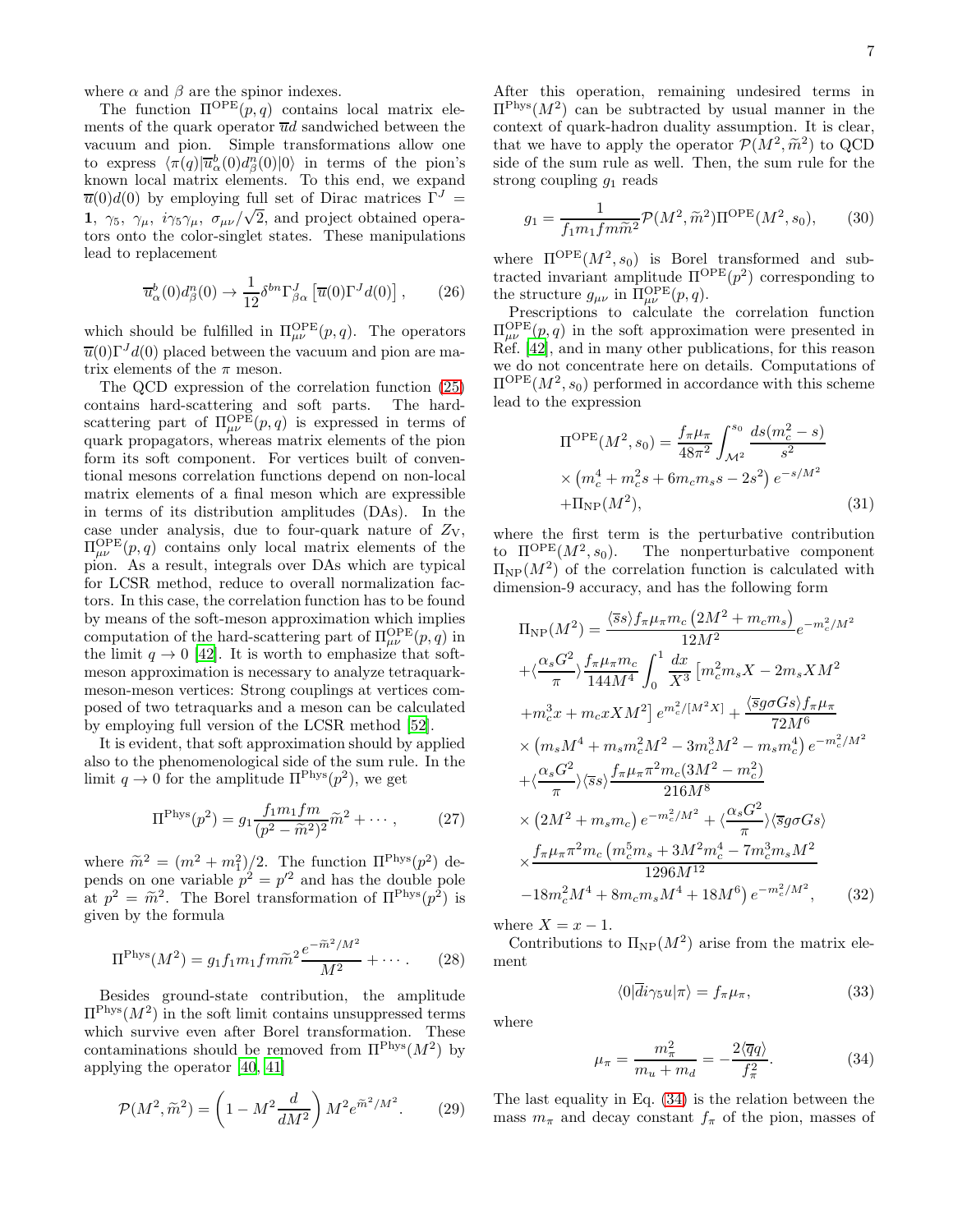where  $\alpha$  and  $\beta$  are the spinor indexes.

The function  $\Pi^{\text{OPE}}(p,q)$  contains local matrix elements of the quark operator  $\overline{u}d$  sandwiched between the vacuum and pion. Simple transformations allow one to express  $\langle \pi(q) | \overline{u}^b_\alpha(0) d^n_\beta(0) | 0 \rangle$  in terms of the pion's known local matrix elements. To this end, we expand  $\overline{u}(0)d(0)$  by employing full set of Dirac matrices  $\Gamma^{J}$  = 1,  $\gamma_5$ ,  $\gamma_\mu$ ,  $i\gamma_5\gamma_\mu$ ,  $\sigma_{\mu\nu}/\sqrt{2}$ , and project obtained operators onto the color-singlet states. These manipulations lead to replacement

$$
\overline{u}^b_\alpha(0)d^n_\beta(0) \to \frac{1}{12} \delta^{bn} \Gamma^J_{\beta\alpha} \left[ \overline{u}(0) \Gamma^J d(0) \right], \qquad (26)
$$

which should be fulfilled in  $\Pi_{\mu\nu}^{\rm OPE}(p,q)$ . The operators  $\overline{u}(0)\Gamma^{J}d(0)$  placed between the vacuum and pion are matrix elements of the  $\pi$  meson.

The QCD expression of the correlation function [\(25\)](#page-5-4) contains hard-scattering and soft parts. The hardscattering part of  $\Pi_{\mu\nu}^{\rm OPE}(p,q)$  is expressed in terms of quark propagators, whereas matrix elements of the pion form its soft component. For vertices built of conventional mesons correlation functions depend on non-local matrix elements of a final meson which are expressible in terms of its distribution amplitudes (DAs). In the case under analysis, due to four-quark nature of  $Z_V$ ,  $\Pi_{\mu\nu}^{\rm OPE}(p,q)$  contains only local matrix elements of the pion. As a result, integrals over DAs which are typical for LCSR method, reduce to overall normalization factors. In this case, the correlation function has to be found by means of the soft-meson approximation which implies computation of the hard-scattering part of  $\Pi_{\mu\nu}^{\rm OPE}(p,q)$  in the limit  $q \to 0$  [\[42\]](#page-10-12). It is worth to emphasize that softmeson approximation is necessary to analyze tetraquarkmeson-meson vertices: Strong couplings at vertices composed of two tetraquarks and a meson can be calculated by employing full version of the LCSR method [\[52\]](#page-10-22).

It is evident, that soft approximation should by applied also to the phenomenological side of the sum rule. In the limit  $q \to 0$  for the amplitude  $\Pi^{\text{Phys}}(p^2)$ , we get

$$
\Pi^{\text{Phys}}(p^2) = g_1 \frac{f_1 m_1 f m}{(p^2 - \tilde{m}^2)^2} \tilde{m}^2 + \cdots, \qquad (27)
$$

where  $\widetilde{m}^2 = (m^2 + m_1^2)/2$ . The function  $\Pi^{\text{Phys}}(p^2)$  depends on one variable  $p^2 = p'^2$  and has the double pole at  $p^2 = \tilde{m}^2$ . The Borel transformation of  $\Pi^{\text{Phys}}(p^2)$  is given by the formula

$$
\Pi^{\text{Phys}}(M^2) = g_1 f_1 m_1 f m \tilde{m}^2 \frac{e^{-\tilde{m}^2/M^2}}{M^2} + \cdots. \tag{28}
$$

Besides ground-state contribution, the amplitude  $\Pi^{\text{Phys}}(M^2)$  in the soft limit contains unsuppressed terms which survive even after Borel transformation. These contaminations should be removed from  $\Pi^{\text{Phys}}(M^2)$  by applying the operator [\[40,](#page-10-10) [41\]](#page-10-11)

$$
\mathcal{P}(M^2, \tilde{m}^2) = \left(1 - M^2 \frac{d}{dM^2}\right) M^2 e^{\tilde{m}^2/M^2}.
$$
 (29)

After this operation, remaining undesired terms in  $\Pi^{\text{Phys}}(M^2)$  can be subtracted by usual manner in the context of quark-hadron duality assumption. It is clear, that we have to apply the operator  $\mathcal{P}(M^2, \tilde{m}^2)$  to QCD side of the sum rule as well. Then, the sum rule for the strong coupling  $g_1$  reads

<span id="page-6-1"></span>
$$
g_1 = \frac{1}{f_1 m_1 f m \tilde{m}^2} \mathcal{P}(M^2, \tilde{m}^2) \Pi^{\text{OPE}}(M^2, s_0), \qquad (30)
$$

where  $\Pi^{\text{OPE}}(M^2, s_0)$  is Borel transformed and subtracted invariant amplitude  $\Pi^{\text{OPE}}(p^2)$  corresponding to the structure  $g_{\mu\nu}$  in  $\Pi_{\mu\nu}^{\text{OPE}}(p,q)$ .

Prescriptions to calculate the correlation function  $\Pi_{\mu\nu}^{\rm OPE}(p,q)$  in the soft approximation were presented in Ref. [\[42](#page-10-12)], and in many other publications, for this reason we do not concentrate here on details. Computations of  $\Pi^{\rm OPE}(M^2,s_0)$  performed in accordance with this scheme lead to the expression

$$
\Pi^{\text{OPE}}(M^2, s_0) = \frac{f_\pi \mu_\pi}{48\pi^2} \int_{\mathcal{M}^2}^{s_0} \frac{ds(m_c^2 - s)}{s^2}
$$

$$
\times \left(m_c^4 + m_c^2 s + 6m_c m_s s - 2s^2\right) e^{-s/M^2}
$$

$$
+\Pi_{\text{NP}}(M^2), \tag{31}
$$

where the first term is the perturbative contribution to  $\Pi^{\text{OPE}}(M^2, s_0)$ . The nonperturbative component  $\Pi_{\text{NP}}(M^2)$  of the correlation function is calculated with dimension-9 accuracy, and has the following form

$$
\Pi_{\rm NP}(M^2) = \frac{\langle \overline{s}s \rangle f_{\pi} \mu_{\pi} m_c (2M^2 + m_c m_s)}{12M^2} e^{-m_c^2/M^2} \n+ \langle \frac{\alpha_s G^2}{\pi} \rangle \frac{f_{\pi} \mu_{\pi} m_c}{144M^4} \int_0^1 \frac{dx}{X^3} \left[ m_c^2 m_s X - 2m_s X M^2 \right. \n+ m_c^3 x + m_c x X M^2 \left[ e^{m_c^2/[M^2 X]} + \frac{\langle \overline{s}g \sigma G s \rangle f_{\pi} \mu_{\pi}}{72M^6} \n\times (m_s M^4 + m_s m_c^2 M^2 - 3m_c^3 M^2 - m_s m_c^4) e^{-m_c^2/M^2} \n+ \langle \frac{\alpha_s G^2}{\pi} \rangle \langle \overline{s}s \rangle \frac{f_{\pi} \mu_{\pi} \pi^2 m_c (3M^2 - m_c^2)}{216M^8} \n\times (2M^2 + m_s m_c) e^{-m_c^2/M^2} + \langle \frac{\alpha_s G^2}{\pi} \rangle \langle \overline{s}g \sigma G s \rangle \n\times \frac{f_{\pi} \mu_{\pi} \pi^2 m_c (m_c^5 m_s + 3M^2 m_c^4 - 7m_c^3 m_s M^2)}{1296M^{12}} \n-18m_c^2 M^4 + 8m_c m_s M^4 + 18M^6) e^{-m_c^2/M^2}, \qquad (32)
$$

where  $X = x - 1$ .

Contributions to  $\Pi_{\text{NP}}(M^2)$  arise from the matrix element

$$
\langle 0|\overline{d}i\gamma_5 u|\pi\rangle = f_\pi \mu_\pi,\tag{33}
$$

where

<span id="page-6-0"></span>
$$
\mu_{\pi} = \frac{m_{\pi}^2}{m_u + m_d} = -\frac{2\langle \overline{q}q \rangle}{f_{\pi}^2}.
$$
 (34)

The last equality in Eq. [\(34\)](#page-6-0) is the relation between the mass  $m_{\pi}$  and decay constant  $f_{\pi}$  of the pion, masses of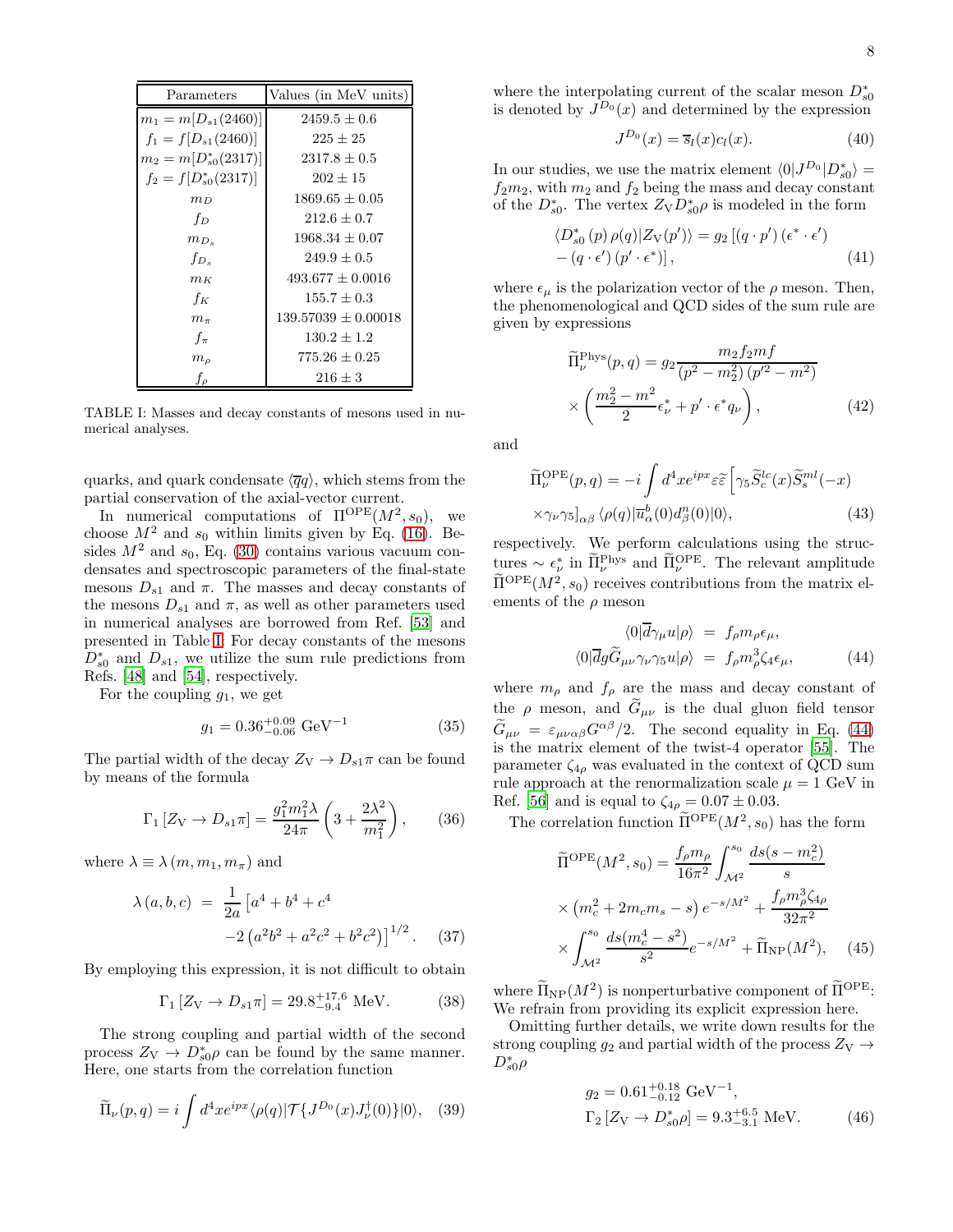| Parameters                | Values (in MeV units) |
|---------------------------|-----------------------|
| $m_1 = m[D_{s1}(2460)]$   | $2459.5 + 0.6$        |
| $f_1 = f[D_{s1}(2460)]$   | $225 + 25$            |
| $m_2 = m[D_{s0}^*(2317)]$ | $2317.8 + 0.5$        |
| $f_2 = f[D_{s0}^*(2317)]$ | $202 + 15$            |
| $m_D$                     | $1869.65 \pm 0.05$    |
| $f_D$                     | $212.6 + 0.7$         |
| $m_{D_s}$                 | $1968.34 + 0.07$      |
| $f_{D_e}$                 | $249.9 + 0.5$         |
| $m_K$                     | $493.677 + 0.0016$    |
| $f_K$                     | $155.7 + 0.3$         |
| $m_{\pi}$                 | $139.57039 + 0.00018$ |
| $f_{\pi}$                 | $130.2 \pm 1.2$       |
| $m_{\rho}$                | $775.26 \pm 0.25$     |
| fρ                        | $216 + 3$             |

<span id="page-7-0"></span>TABLE I: Masses and decay constants of mesons used in numerical analyses.

quarks, and quark condensate  $\langle \overline{q}q \rangle$ , which stems from the partial conservation of the axial-vector current.

In numerical computations of  $\Pi^{\text{OPE}}(M^2, s_0)$ , we choose  $M^2$  and  $s_0$  within limits given by Eq. [\(16\)](#page-3-1). Besides  $M^2$  and  $s_0$ , Eq. [\(30\)](#page-6-1) contains various vacuum condensates and spectroscopic parameters of the final-state mesons  $D_{s1}$  and  $\pi$ . The masses and decay constants of the mesons  $D_{s1}$  and  $\pi$ , as well as other parameters used in numerical analyses are borrowed from Ref. [\[53\]](#page-10-23) and presented in Table [I:](#page-7-0) For decay constants of the mesons  $D_{s0}^*$  and  $D_{s1}$ , we utilize the sum rule predictions from Refs. [\[48\]](#page-10-18) and [\[54\]](#page-10-24), respectively.

For the coupling  $g_1$ , we get

$$
g_1 = 0.36^{+0.09}_{-0.06} \text{ GeV}^{-1} \tag{35}
$$

The partial width of the decay  $Z_V \rightarrow D_{s1}\pi$  can be found by means of the formula

$$
\Gamma_1 \left[ Z_V \to D_{s1} \pi \right] = \frac{g_1^2 m_1^2 \lambda}{24 \pi} \left( 3 + \frac{2 \lambda^2}{m_1^2} \right), \qquad (36)
$$

where  $\lambda \equiv \lambda(m, m_1, m_\pi)$  and

$$
\lambda(a, b, c) = \frac{1}{2a} \left[ a^4 + b^4 + c^4
$$
  
-2  $\left( a^2 b^2 + a^2 c^2 + b^2 c^2 \right) \right]^{1/2}$ . (37)

By employing this expression, it is not difficult to obtain

$$
\Gamma_1 \left[ Z_V \to D_{s1} \pi \right] = 29.8^{+17.6}_{-9.4} \text{ MeV}.
$$
 (38)

The strong coupling and partial width of the second process  $Z_V \to D_{s0}^* \rho$  can be found by the same manner. Here, one starts from the correlation function

$$
\widetilde{\Pi}_{\nu}(p,q) = i \int d^4x e^{ipx} \langle \rho(q) | \mathcal{T} \{ J^{D_0}(x) J^{\dagger}_{\nu}(0) \} | 0 \rangle, \quad (39)
$$

where the interpolating current of the scalar meson  $D_{s0}^*$ is denoted by  $J^{D_0}(x)$  and determined by the expression

$$
J^{D_0}(x) = \overline{s}_l(x)c_l(x). \tag{40}
$$

In our studies, we use the matrix element  $\langle 0|J^{D_0}|D_{s0}^*\rangle =$  $f_2m_2$ , with  $m_2$  and  $f_2$  being the mass and decay constant of the  $D_{s0}^*$ . The vertex  $Z_{\nabla}D_{s0}^*\rho$  is modeled in the form

$$
\langle D_{s0}^*(p) \,\rho(q) | Z_V(p') \rangle = g_2 \left[ (q \cdot p') \left( \epsilon^* \cdot \epsilon' \right) - (q \cdot \epsilon') \left( p' \cdot \epsilon^* \right) \right],\tag{41}
$$

where  $\epsilon_{\mu}$  is the polarization vector of the  $\rho$  meson. Then, the phenomenological and QCD sides of the sum rule are given by expressions

$$
\widetilde{\Pi}_{\nu}^{\text{Phys}}(p,q) = g_2 \frac{m_2 f_2 m f}{(p^2 - m_2^2) (p'^2 - m^2)} \times \left( \frac{m_2^2 - m^2}{2} \epsilon_{\nu}^* + p' \cdot \epsilon^* q_{\nu} \right),
$$
\n(42)

and

$$
\widetilde{\Pi}_{\nu}^{\text{OPE}}(p,q) = -i \int d^4x e^{ipx} \varepsilon \widetilde{\varepsilon} \left[ \gamma_5 \widetilde{S}_c^{lc}(x) \widetilde{S}_s^{ml}(-x) \right. \times \gamma_{\nu} \gamma_5 \big]_{\alpha\beta} \langle \rho(q) | \overline{u}_{\alpha}^b(0) d_{\beta}^n(0) | 0 \rangle, \tag{43}
$$

respectively. We perform calculations using the structures  $\sim \epsilon_{\nu}^{*}$  in  $\Pi_{\nu}^{\text{Phys}}$  and  $\Pi_{\nu}^{\text{OPE}}$ . The relevant amplitude  $\widetilde{\Pi}^{\rm OPE}(M^2, s_0)$  receives contributions from the matrix elements of the  $\rho$  meson

<span id="page-7-1"></span>
$$
\langle 0|\overline{d}\gamma_{\mu}u|\rho\rangle = f_{\rho}m_{\rho}\epsilon_{\mu},
$$

$$
\langle 0|\overline{d}g\widetilde{G}_{\mu\nu}\gamma_{\nu}\gamma_{5}u|\rho\rangle = f_{\rho}m_{\rho}^{3}\zeta_{4}\epsilon_{\mu}, \qquad (44)
$$

where  $m_{\rho}$  and  $f_{\rho}$  are the mass and decay constant of the  $\rho$  meson, and  $\tilde{G}_{\mu\nu}$  is the dual gluon field tensor  $\widetilde{G}_{\mu\nu} = \varepsilon_{\mu\nu\alpha\beta} G^{\alpha\beta}/2$ . The second equality in Eq. [\(44\)](#page-7-1) is the matrix element of the twist-4 operator [\[55](#page-10-25)]. The parameter  $\zeta_{4\rho}$  was evaluated in the context of QCD sum rule approach at the renormalization scale  $\mu = 1$  GeV in Ref. [\[56\]](#page-10-26) and is equal to  $\zeta_{4\rho} = 0.07 \pm 0.03$ .

The correlation function  $\overline{\Pi}^{\text{OPE}}(M^2, s_0)$  has the form

$$
\widetilde{\Pi}^{\text{OPE}}(M^2, s_0) = \frac{f_\rho m_\rho}{16\pi^2} \int_{\mathcal{M}^2}^{s_0} \frac{ds(s - m_c^2)}{s} \times (m_c^2 + 2m_c m_s - s) e^{-s/M^2} + \frac{f_\rho m_\rho^3 \zeta_{4\rho}}{32\pi^2} \times \int_{\mathcal{M}^2}^{s_0} \frac{ds(m_c^4 - s^2)}{s^2} e^{-s/M^2} + \widetilde{\Pi}_{\text{NP}}(M^2),
$$
 (45)

where  $\Pi_{\text{NP}}(M^2)$  is nonperturbative component of  $\Pi^{\text{OPE}}$ : We refrain from providing its explicit expression here.

Omitting further details, we write down results for the strong coupling  $g_2$  and partial width of the process  $Z_V \rightarrow$  $D_{s0}^{\ast}\rho$ 

$$
g_2 = 0.61^{+0.18}_{-0.12} \text{ GeV}^{-1},
$$
  
\n
$$
\Gamma_2 [Z_V \to D_{s0}^* \rho] = 9.3^{+6.5}_{-3.1} \text{ MeV}.
$$
 (46)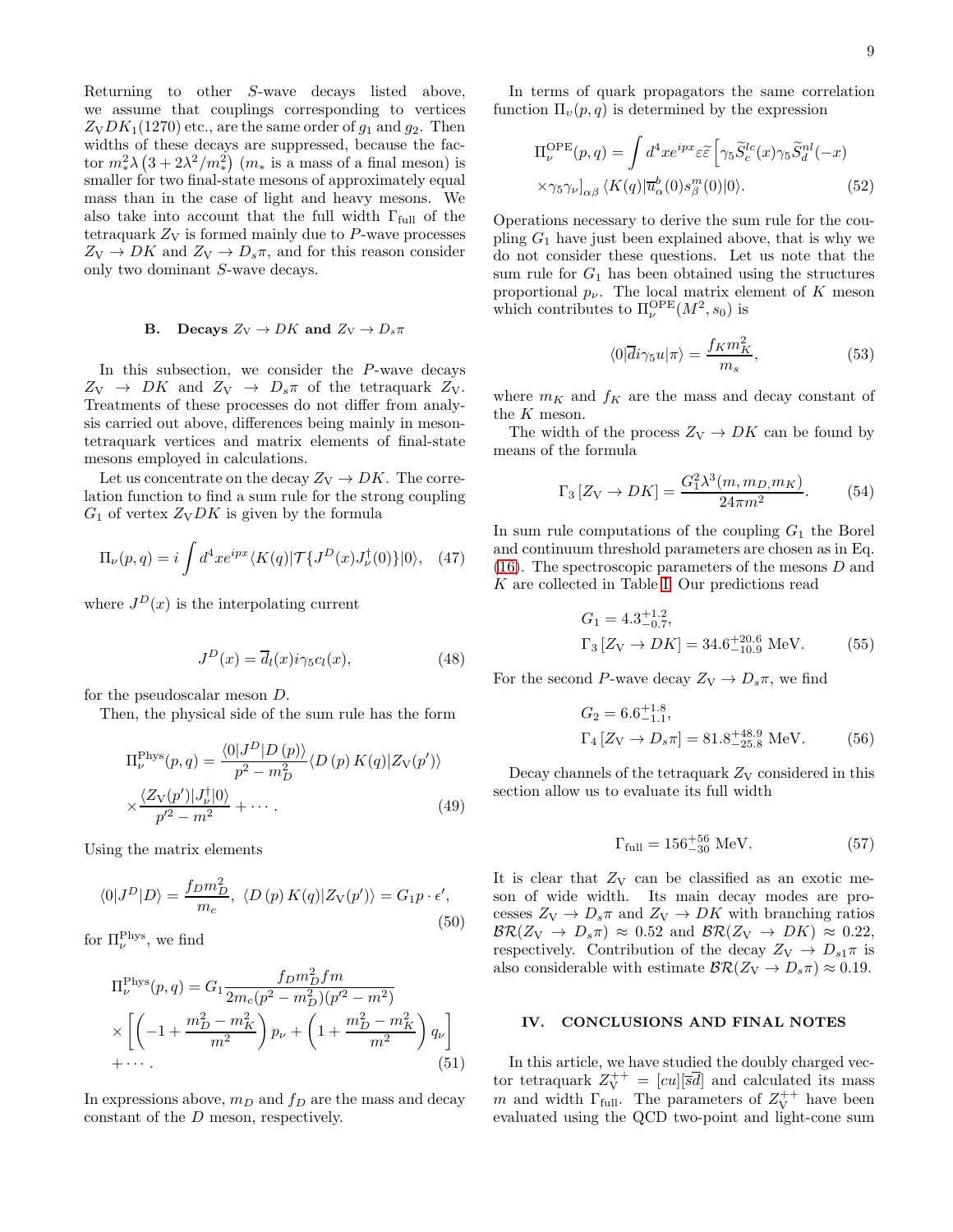Returning to other S-wave decays listed above, we assume that couplings corresponding to vertices  $Z_VDK_1(1270)$  etc., are the same order of  $g_1$  and  $g_2$ . Then widths of these decays are suppressed, because the factor  $m_*^2 \lambda \left(3 + 2\lambda^2/m_*^2\right)$   $(m_*$  is a mass of a final meson) is smaller for two final-state mesons of approximately equal mass than in the case of light and heavy mesons. We also take into account that the full width  $\Gamma_{\text{full}}$  of the tetraquark  $Z_V$  is formed mainly due to  $P$ -wave processes  $Z_V \rightarrow DK$  and  $Z_V \rightarrow D_s \pi$ , and for this reason consider only two dominant S-wave decays.

### **B.** Decays  $Z_V \rightarrow DK$  and  $Z_V \rightarrow D_s \pi$

In this subsection, we consider the P-wave decays  $Z_V \rightarrow DK$  and  $Z_V \rightarrow D_s \pi$  of the tetraquark  $Z_V$ . Treatments of these processes do not differ from analysis carried out above, differences being mainly in mesontetraquark vertices and matrix elements of final-state mesons employed in calculations.

Let us concentrate on the decay  $Z_V \rightarrow DK$ . The correlation function to find a sum rule for the strong coupling  $G_1$  of vertex  $Z_VDK$  is given by the formula

$$
\Pi_{\nu}(p,q) = i \int d^4x e^{ipx} \langle K(q) | \mathcal{T} \{ J^D(x) J^{\dagger}_{\nu}(0) \} | 0 \rangle, \quad (47)
$$

where  $J^D(x)$  is the interpolating current

$$
J^{D}(x) = \overline{d}_{l}(x)i\gamma_{5}c_{l}(x), \qquad (48)
$$

for the pseudoscalar meson D.

Then, the physical side of the sum rule has the form

$$
\Pi_{\nu}^{\text{Phys}}(p,q) = \frac{\langle 0|J^D|D(p)\rangle}{p^2 - m_D^2} \langle D(p) K(q)|Z_V(p')\rangle
$$
  
 
$$
\times \frac{\langle Z_V(p')|J_V^{\dagger}|0\rangle}{p'^2 - m^2} + \cdots
$$
 (49)

Using the matrix elements

$$
\langle 0|J^D|D\rangle = \frac{f_D m_D^2}{m_c}, \ \langle D(p) K(q)|Z_V(p')\rangle = G_1 p \cdot \epsilon',\tag{50}
$$

for  $\Pi_{\nu}^{\text{Phys}}$ , we find

$$
\Pi_{\nu}^{\text{Phys}}(p,q) = G_1 \frac{f_D m_D^2 f m}{2m_c(p^2 - m_D^2)(p'^2 - m^2)}
$$
  
 
$$
\times \left[ \left( -1 + \frac{m_D^2 - m_K^2}{m^2} \right) p_{\nu} + \left( 1 + \frac{m_D^2 - m_K^2}{m^2} \right) q_{\nu} \right]
$$
  
+... (51)

In expressions above,  $m_D$  and  $f_D$  are the mass and decay constant of the D meson, respectively.

In terms of quark propagators the same correlation function  $\Pi_{\nu}(p,q)$  is determined by the expression

$$
\Pi_{\nu}^{\text{OPE}}(p,q) = \int d^4x e^{ipx} \varepsilon \tilde{\varepsilon} \left[ \gamma_5 \tilde{S}_c^{lc}(x) \gamma_5 \tilde{S}_d^{nl}(-x) \right. \times \gamma_5 \gamma_{\nu} \vert_{\alpha\beta} \langle K(q) | \overline{u}_{\alpha}^b(0) s_{\beta}^m(0) | 0 \rangle.
$$
 (52)

Operations necessary to derive the sum rule for the coupling  $G_1$  have just been explained above, that is why we do not consider these questions. Let us note that the sum rule for  $G_1$  has been obtained using the structures proportional  $p_{\nu}$ . The local matrix element of K meson which contributes to  $\Pi_{\nu}^{\rm OPE}(M^2, s_0)$  is

$$
\langle 0|\overline{d}i\gamma_5 u|\pi\rangle = \frac{f_K m_K^2}{m_s},\qquad(53)
$$

where  $m_K$  and  $f_K$  are the mass and decay constant of the K meson.

The width of the process  $Z_V \rightarrow DK$  can be found by means of the formula

$$
\Gamma_3 \left[ Z_V \to D K \right] = \frac{G_1^2 \lambda^3(m, m_D, m_K)}{24 \pi m^2}.
$$
 (54)

In sum rule computations of the coupling  $G_1$  the Borel and continuum threshold parameters are chosen as in Eq.  $(16)$ . The spectroscopic parameters of the mesons  $D$  and K are collected in Table [I.](#page-7-0) Our predictions read

$$
G_1 = 4.3^{+1.2}_{-0.7},
$$
  
\n
$$
\Gamma_3 [Z_V \to DK] = 34.6^{+20.6}_{-10.9} \text{ MeV.}
$$
 (55)

For the second P-wave decay  $Z_V \rightarrow D_s \pi$ , we find

$$
G_2 = 6.6^{+1.8}_{-1.1},
$$
  
\n
$$
\Gamma_4 [Z_V \to D_s \pi] = 81.8^{+48.9}_{-25.8} \text{ MeV.}
$$
 (56)

Decay channels of the tetraquark  $Z_V$  considered in this section allow us to evaluate its full width

$$
\Gamma_{\text{full}} = 156^{+56}_{-30} \text{ MeV}.\tag{57}
$$

It is clear that  $Z_V$  can be classified as an exotic meson of wide width. Its main decay modes are processes  $Z_V \rightarrow D_s \pi$  and  $Z_V \rightarrow DK$  with branching ratios  $\mathcal{BR}(Z_V \to D_s \pi) \approx 0.52$  and  $\mathcal{BR}(Z_V \to DK) \approx 0.22$ , respectively. Contribution of the decay  $Z_V \rightarrow D_{s1}\pi$  is also considerable with estimate  $\mathcal{BR}(Z_V \to D_s \pi) \approx 0.19$ .

#### <span id="page-8-0"></span>IV. CONCLUSIONS AND FINAL NOTES

In this article, we have studied the doubly charged vector tetraquark Z ++ <sup>V</sup> = [cu][sd] and calculated its mass m and width  $\Gamma_{\text{full}}$ . The parameters of  $Z_{\text{V}}^{++}$  have been evaluated using the QCD two-point and light-cone sum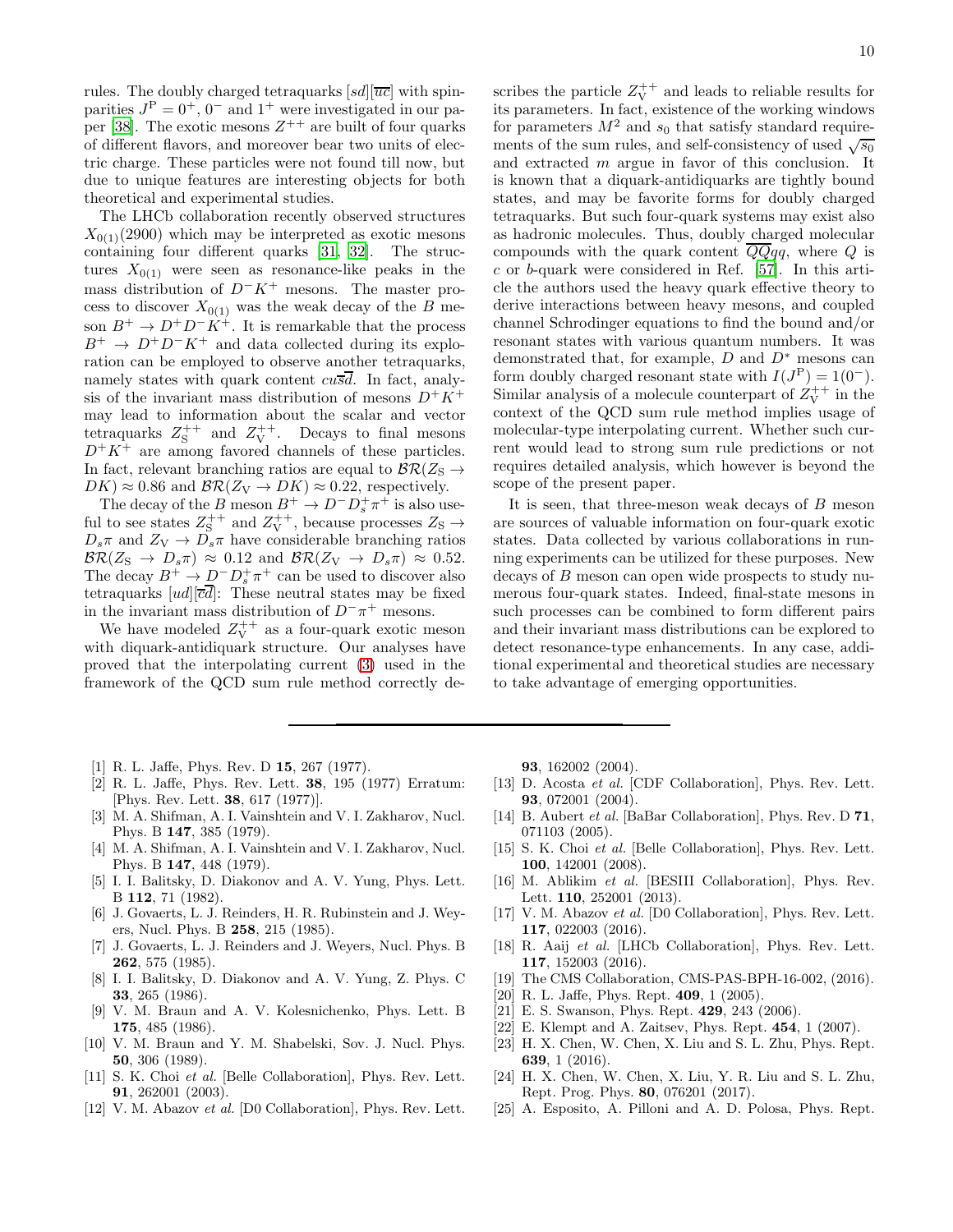rules. The doubly charged tetraquarks  $[sd][\overline{uc}]$  with spinparities  $J^{\text{P}} = 0^{+}$ ,  $0^{-}$  and  $1^{+}$  were investigated in our pa-per [\[38\]](#page-10-8). The exotic mesons  $Z^{++}$  are built of four quarks of different flavors, and moreover bear two units of electric charge. These particles were not found till now, but due to unique features are interesting objects for both theoretical and experimental studies.

The LHCb collaboration recently observed structures  $X_{0(1)}(2900)$  which may be interpreted as exotic mesons containing four different quarks [\[31](#page-10-1), [32\]](#page-10-2). The structures  $X_{0(1)}$  were seen as resonance-like peaks in the mass distribution of  $D^-K^+$  mesons. The master process to discover  $X_{0(1)}$  was the weak decay of the B meson  $B^+ \to D^+D^-K^+$ . It is remarkable that the process  $B^+ \rightarrow D^+D^-K^+$  and data collected during its exploration can be employed to observe another tetraquarks, namely states with quark content  $cu\overline{s}\overline{d}$ . In fact, analysis of the invariant mass distribution of mesons  $D^+K^+$ may lead to information about the scalar and vector tetraquarks  $Z_S^{++}$  and  $Z_V^{++}$ . Decays to final mesons  $D^+K^+$  are among favored channels of these particles. In fact, relevant branching ratios are equal to  $\mathcal{BR}(Z_\mathrm{S}\to$  $DK \approx 0.86$  and  $\mathcal{BR}(Z_V \to DK) \approx 0.22$ , respectively.

The decay of the B meson  $B^+ \to D^- D_s^+ \pi^+$  is also useful to see states  $Z_S^{++}$  and  $Z_V^{++}$ , because processes  $Z_S \rightarrow$  $D_s \pi$  and  $Z_V \to D_s \pi$  have considerable branching ratios  $\mathcal{BR}(Z_{\rm S} \to D_s \pi) \approx 0.12$  and  $\mathcal{BR}(Z_{\rm V} \to D_s \pi) \approx 0.52$ . The decay  $B^+ \to D^- D^+_{\rm s} \pi^+$  can be used to discover also tetraquarks  $[ud][\overline{cd}]$ : These neutral states may be fixed in the invariant mass distribution of  $D^-\pi^+$  mesons.

We have modeled  $Z_V^{++}$  as a four-quark exotic meson with diquark-antidiquark structure. Our analyses have proved that the interpolating current [\(3\)](#page-2-1) used in the framework of the QCD sum rule method correctly de-

scribes the particle  $Z_V^{++}$  and leads to reliable results for its parameters. In fact, existence of the working windows for parameters  $M^2$  and  $s_0$  that satisfy standard requirements of the sum rules, and self-consistency of used  $\sqrt{s_0}$ and extracted m argue in favor of this conclusion. It is known that a diquark-antidiquarks are tightly bound states, and may be favorite forms for doubly charged tetraquarks. But such four-quark systems may exist also as hadronic molecules. Thus, doubly charged molecular compounds with the quark content  $\overline{Q}Qqq$ , where Q is c or b-quark were considered in Ref. [\[57\]](#page-10-27). In this article the authors used the heavy quark effective theory to derive interactions between heavy mesons, and coupled channel Schrodinger equations to find the bound and/or resonant states with various quantum numbers. It was demonstrated that, for example,  $D$  and  $D^*$  mesons can form doubly charged resonant state with  $I(J^P) = 1(0^-)$ . Similar analysis of a molecule counterpart of  $Z_V^{++}$  in the context of the QCD sum rule method implies usage of molecular-type interpolating current. Whether such current would lead to strong sum rule predictions or not requires detailed analysis, which however is beyond the scope of the present paper.

It is seen, that three-meson weak decays of B meson are sources of valuable information on four-quark exotic states. Data collected by various collaborations in running experiments can be utilized for these purposes. New decays of B meson can open wide prospects to study numerous four-quark states. Indeed, final-state mesons in such processes can be combined to form different pairs and their invariant mass distributions can be explored to detect resonance-type enhancements. In any case, additional experimental and theoretical studies are necessary to take advantage of emerging opportunities.

- <span id="page-9-0"></span>[1] R. L. Jaffe, Phys. Rev. D 15, 267 (1977).
- <span id="page-9-1"></span>[2] R. L. Jaffe, Phys. Rev. Lett. 38, 195 (1977) Erratum: [Phys. Rev. Lett. 38, 617 (1977)].
- <span id="page-9-2"></span>[3] M. A. Shifman, A. I. Vainshtein and V. I. Zakharov, Nucl. Phys. B 147, 385 (1979).
- <span id="page-9-3"></span>[4] M. A. Shifman, A. I. Vainshtein and V. I. Zakharov, Nucl. Phys. B 147, 448 (1979).
- <span id="page-9-4"></span>[5] I. I. Balitsky, D. Diakonov and A. V. Yung, Phys. Lett. B 112, 71 (1982).
- [6] J. Govaerts, L. J. Reinders, H. R. Rubinstein and J. Weyers, Nucl. Phys. B 258, 215 (1985).
- [7] J. Govaerts, L. J. Reinders and J. Weyers, Nucl. Phys. B 262, 575 (1985).
- [8] I. I. Balitsky, D. Diakonov and A. V. Yung, Z. Phys. C 33, 265 (1986).
- [9] V. M. Braun and A. V. Kolesnichenko, Phys. Lett. B 175, 485 (1986).
- <span id="page-9-5"></span>[10] V. M. Braun and Y. M. Shabelski, Sov. J. Nucl. Phys. 50, 306 (1989).
- <span id="page-9-6"></span>[11] S. K. Choi et al. [Belle Collaboration], Phys. Rev. Lett. 91, 262001 (2003).
- <span id="page-9-7"></span>[12] V. M. Abazov *et al.* [D0 Collaboration], Phys. Rev. Lett.

93, 162002 (2004).

- [13] D. Acosta *et al.* [CDF Collaboration], Phys. Rev. Lett. 93, 072001 (2004).
- <span id="page-9-8"></span>[14] B. Aubert *et al.* [BaBar Collaboration], Phys. Rev. D **71**, 071103 (2005).
- <span id="page-9-9"></span>[15] S. K. Choi et al. [Belle Collaboration], Phys. Rev. Lett. 100, 142001 (2008).
- <span id="page-9-10"></span>[16] M. Ablikim et al. [BESIII Collaboration], Phys. Rev. Lett. 110, 252001 (2013).
- <span id="page-9-11"></span>[17] V. M. Abazov et al. [D0 Collaboration], Phys. Rev. Lett. 117, 022003 (2016).
- <span id="page-9-12"></span>[18] R. Aaij et al. [LHCb Collaboration], Phys. Rev. Lett. 117, 152003 (2016).
- <span id="page-9-13"></span>[19] The CMS Collaboration, CMS-PAS-BPH-16-002, (2016).
- <span id="page-9-14"></span>[20] R. L. Jaffe, Phys. Rept. 409, 1 (2005).
- [21] E. S. Swanson, Phys. Rept. 429, 243 (2006).
- [22] E. Klempt and A. Zaitsev, Phys. Rept. 454, 1 (2007).
- [23] H. X. Chen, W. Chen, X. Liu and S. L. Zhu, Phys. Rept. 639, 1 (2016).
- [24] H. X. Chen, W. Chen, X. Liu, Y. R. Liu and S. L. Zhu, Rept. Prog. Phys. 80, 076201 (2017).
- [25] A. Esposito, A. Pilloni and A. D. Polosa, Phys. Rept.